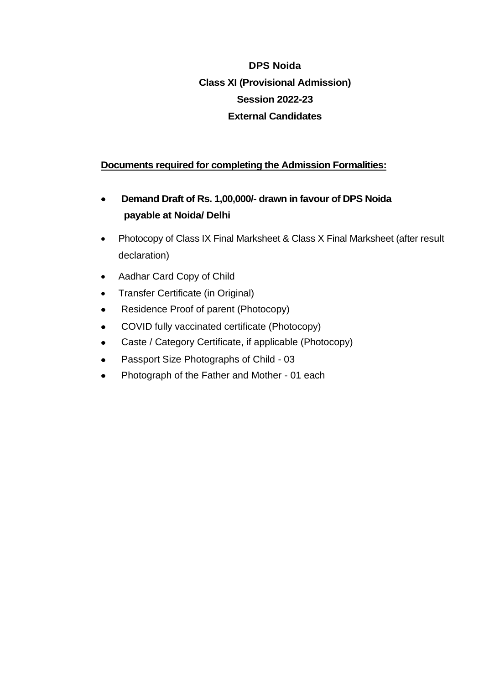## **DPS Noida Class XI (Provisional Admission) Session 2022-23 External Candidates**

### **Documents required for completing the Admission Formalities:**

- **Demand Draft of Rs. 1,00,000/- drawn in favour of DPS Noida payable at Noida/ Delhi**
- Photocopy of Class IX Final Marksheet & Class X Final Marksheet (after result declaration)
- Aadhar Card Copy of Child
- Transfer Certificate (in Original)
- Residence Proof of parent (Photocopy)
- COVID fully vaccinated certificate (Photocopy)
- Caste / Category Certificate, if applicable (Photocopy)
- Passport Size Photographs of Child 03
- Photograph of the Father and Mother 01 each